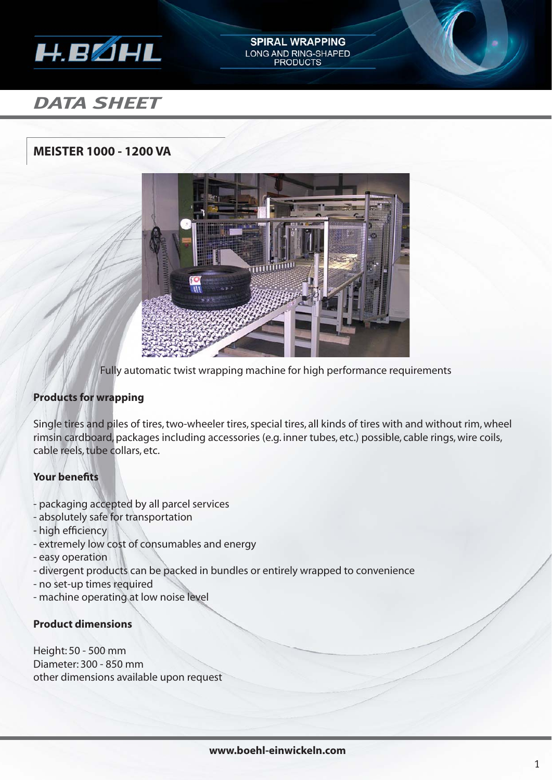

# *DATA SHEET*

# **MEISTER 1000 - 1200 VA**



**SPIRAL WRAPPING** LONG AND RING-SHAPED **PRODUCTS** 

Fully automatic twist wrapping machine for high performance requirements

## **Products for wrapping**

Single tires and piles of tires, two-wheeler tires, special tires, all kinds of tires with and without rim, wheel rimsin cardboard, packages including accessories (e.g. inner tubes, etc.) possible, cable rings, wire coils, cable reels, tube collars, etc.

## **Your benefits**

- packaging accepted by all parcel services
- absolutely safe for transportation
- high efficiency
- extremely low cost of consumables and energy
- easy operation
- divergent products can be packed in bundles or entirely wrapped to convenience
- no set-up times required
- machine operating at low noise level

#### **Product dimensions**

Height: 50 - 500 mm Diameter: 300 - 850 mm other dimensions available upon request